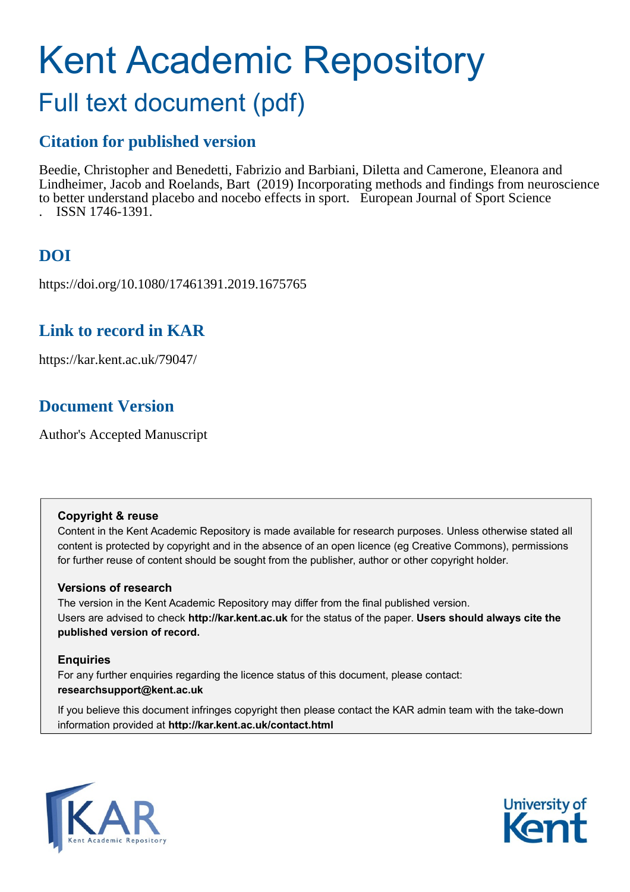# Kent Academic Repository Full text document (pdf)

# **Citation for published version**

Beedie, Christopher and Benedetti, Fabrizio and Barbiani, Diletta and Camerone, Eleanora and Lindheimer, Jacob and Roelands, Bart (2019) Incorporating methods and findings from neuroscience to better understand placebo and nocebo effects in sport. European Journal of Sport Science . ISSN 1746-1391.

**DOI**

https://doi.org/10.1080/17461391.2019.1675765

# **Link to record in KAR**

https://kar.kent.ac.uk/79047/

# **Document Version**

Author's Accepted Manuscript

## **Copyright & reuse**

Content in the Kent Academic Repository is made available for research purposes. Unless otherwise stated all content is protected by copyright and in the absence of an open licence (eg Creative Commons), permissions for further reuse of content should be sought from the publisher, author or other copyright holder.

## **Versions of research**

The version in the Kent Academic Repository may differ from the final published version. Users are advised to check **http://kar.kent.ac.uk** for the status of the paper. **Users should always cite the published version of record.**

## **Enquiries**

For any further enquiries regarding the licence status of this document, please contact: **researchsupport@kent.ac.uk**

If you believe this document infringes copyright then please contact the KAR admin team with the take-down information provided at **http://kar.kent.ac.uk/contact.html**



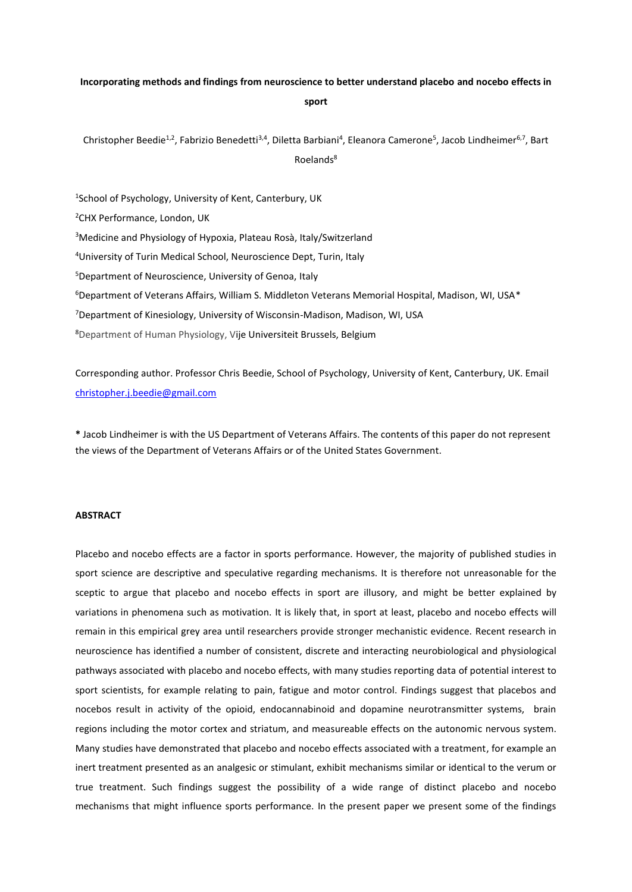## **Incorporating methods and findings from neuroscience to better understand placebo and nocebo effects in sport**

Christopher Beedie<sup>1,2</sup>, Fabrizio Benedetti<sup>3,4</sup>, Diletta Barbiani<sup>4</sup>, Eleanora Camerone<sup>5</sup>, Jacob Lindheimer<sup>6,7</sup>, Bart Roelands<sup>8</sup>

 School of Psychology, University of Kent, Canterbury, UK CHX Performance, London, UK Medicine and Physiology of Hypoxia, Plateau Rosà, Italy/Switzerland University of Turin Medical School, Neuroscience Dept, Turin, Italy Department of Neuroscience, University of Genoa, Italy Department of Veterans Affairs, William S. Middleton Veterans Memorial Hospital, Madison, WI, USA $*$ Department of Kinesiology, University of Wisconsin-Madison, Madison, WI, USA Department of Human Physiology, Vije Universiteit Brussels, Belgium

Corresponding author. Professor Chris Beedie, School of Psychology, University of Kent, Canterbury, UK. Email [christopher.j.beedie@gmail.com](mailto:christopher.j.beedie@gmail.com) 

**\*** Jacob Lindheimer is with the US Department of Veterans Affairs. The contents of this paper do not represent the views of the Department of Veterans Affairs or of the United States Government.

#### **ABSTRACT**

Placebo and nocebo effects are a factor in sports performance. However, the majority of published studies in sport science are descriptive and speculative regarding mechanisms. It is therefore not unreasonable for the sceptic to argue that placebo and nocebo effects in sport are illusory, and might be better explained by variations in phenomena such as motivation. It is likely that, in sport at least, placebo and nocebo effects will remain in this empirical grey area until researchers provide stronger mechanistic evidence. Recent research in neuroscience has identified a number of consistent, discrete and interacting neurobiological and physiological pathways associated with placebo and nocebo effects, with many studies reporting data of potential interest to sport scientists, for example relating to pain, fatigue and motor control. Findings suggest that placebos and nocebos result in activity of the opioid, endocannabinoid and dopamine neurotransmitter systems, brain regions including the motor cortex and striatum, and measureable effects on the autonomic nervous system. Many studies have demonstrated that placebo and nocebo effects associated with a treatment, for example an inert treatment presented as an analgesic or stimulant, exhibit mechanisms similar or identical to the verum or true treatment. Such findings suggest the possibility of a wide range of distinct placebo and nocebo mechanisms that might influence sports performance. In the present paper we present some of the findings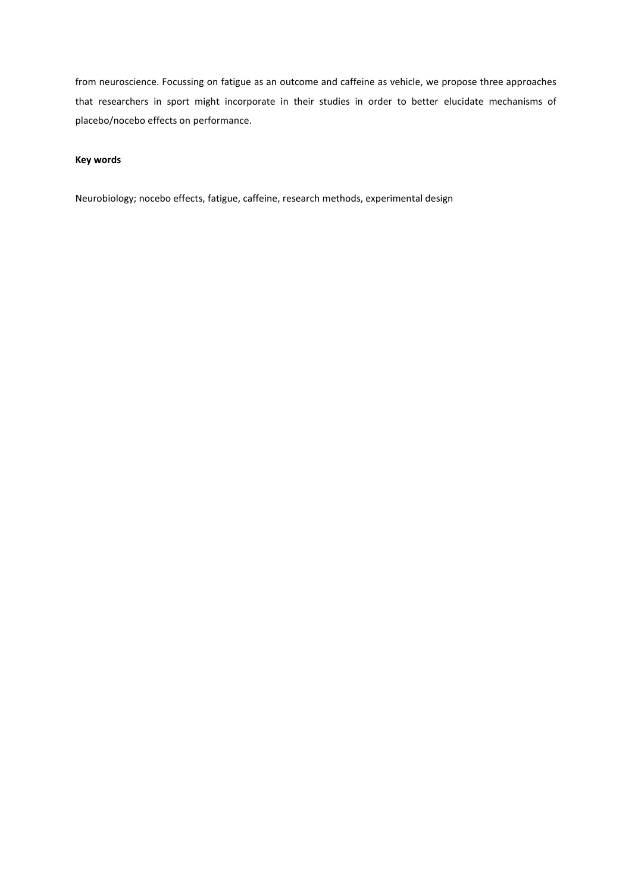from neuroscience. Focussing on fatigue as an outcome and caffeine as vehicle, we propose three approaches that researchers in sport might incorporate in their studies in order to better elucidate mechanisms of placebo/nocebo effects on performance.

#### **Key words**

Neurobiology; nocebo effects, fatigue, caffeine, research methods, experimental design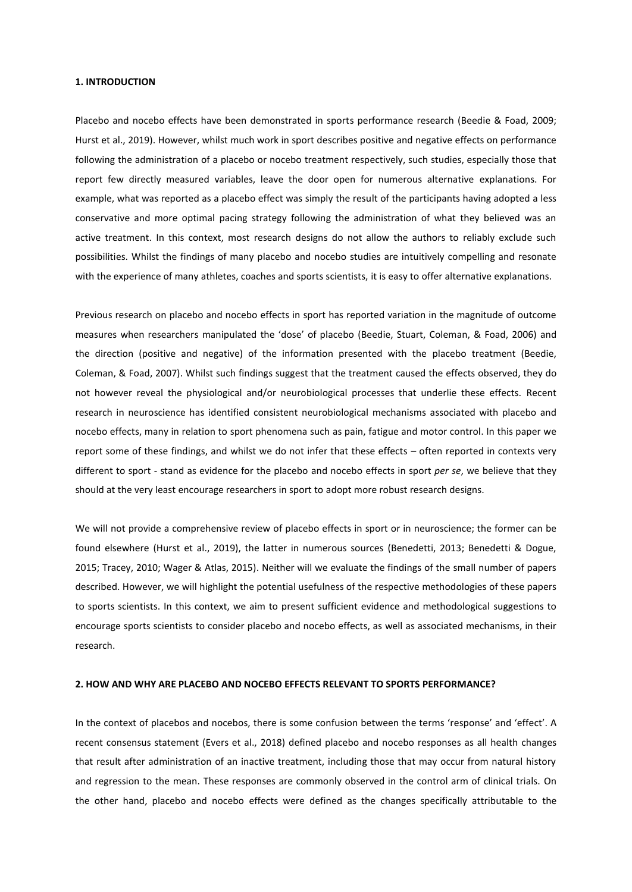#### **1. INTRODUCTION**

Placebo and nocebo effects have been demonstrated in sports performance research (Beedie & Foad, 2009; Hurst et al., 2019). However, whilst much work in sport describes positive and negative effects on performance following the administration of a placebo or nocebo treatment respectively, such studies, especially those that report few directly measured variables, leave the door open for numerous alternative explanations. For example, what was reported as a placebo effect was simply the result of the participants having adopted a less conservative and more optimal pacing strategy following the administration of what they believed was an active treatment. In this context, most research designs do not allow the authors to reliably exclude such possibilities. Whilst the findings of many placebo and nocebo studies are intuitively compelling and resonate with the experience of many athletes, coaches and sports scientists, it is easy to offer alternative explanations.

Previous research on placebo and nocebo effects in sport has reported variation in the magnitude of outcome measures when researchers manipulated the 'dose' of placebo (Beedie, Stuart, Coleman, & Foad, 2006) and the direction (positive and negative) of the information presented with the placebo treatment (Beedie, Coleman, & Foad, 2007). Whilst such findings suggest that the treatment caused the effects observed, they do not however reveal the physiological and/or neurobiological processes that underlie these effects. Recent research in neuroscience has identified consistent neurobiological mechanisms associated with placebo and nocebo effects, many in relation to sport phenomena such as pain, fatigue and motor control. In this paper we report some of these findings, and whilst we do not infer that these effects – often reported in contexts very different to sport - stand as evidence for the placebo and nocebo effects in sport *per se*, we believe that they should at the very least encourage researchers in sport to adopt more robust research designs.

We will not provide a comprehensive review of placebo effects in sport or in neuroscience; the former can be found elsewhere (Hurst et al., 2019), the latter in numerous sources (Benedetti, 2013; Benedetti & Dogue, 2015; Tracey, 2010; Wager & Atlas, 2015). Neither will we evaluate the findings of the small number of papers described. However, we will highlight the potential usefulness of the respective methodologies of these papers to sports scientists. In this context, we aim to present sufficient evidence and methodological suggestions to encourage sports scientists to consider placebo and nocebo effects, as well as associated mechanisms, in their research.

#### **2. HOW AND WHY ARE PLACEBO AND NOCEBO EFFECTS RELEVANT TO SPORTS PERFORMANCE?**

In the context of placebos and nocebos, there is some confusion between the terms 'response' and 'effect'. A recent consensus statement (Evers et al., 2018) defined placebo and nocebo responses as all health changes that result after administration of an inactive treatment, including those that may occur from natural history and regression to the mean. These responses are commonly observed in the control arm of clinical trials. On the other hand, placebo and nocebo effects were defined as the changes specifically attributable to the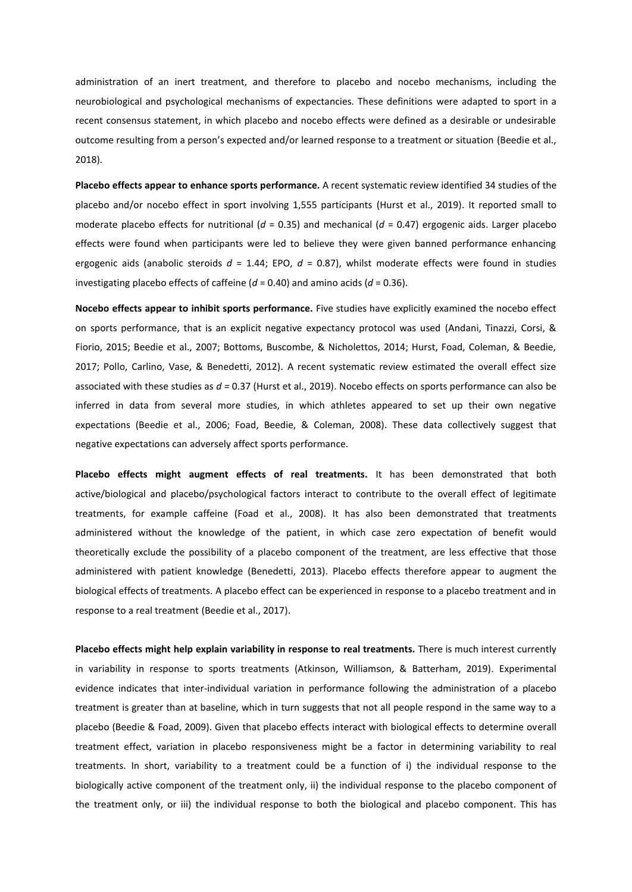administration of an inert treatment, and therefore to placebo and nocebo mechanisms, including the neurobiological and psychological mechanisms of expectancies. These definitions were adapted to sport in a recent consensus statement, in which placebo and nocebo effects were defined as a desirable or undesirable outcome resulting from a person's expected and/or learned response to a treatment or situation (Beedie et al., 2018).

**Placebo effects appear to enhance sports performance.** A recent systematic review identified 34 studies of the placebo and/or nocebo effect in sport involving 1,555 participants (Hurst et al., 2019). It reported small to moderate placebo effects for nutritional (*d* = 0.35) and mechanical (*d* = 0.47) ergogenic aids. Larger placebo effects were found when participants were led to believe they were given banned performance enhancing ergogenic aids (anabolic steroids *d* = 1.44; EPO, *d* = 0.87), whilst moderate effects were found in studies investigating placebo effects of caffeine (*d* = 0.40) and amino acids (*d* = 0.36).

**Nocebo effects appear to inhibit sports performance.** Five studies have explicitly examined the nocebo effect on sports performance, that is an explicit negative expectancy protocol was used (Andani, Tinazzi, Corsi, & Fiorio, 2015; Beedie et al., 2007; Bottoms, Buscombe, & Nicholettos, 2014; Hurst, Foad, Coleman, & Beedie, 2017; Pollo, Carlino, Vase, & Benedetti, 2012). A recent systematic review estimated the overall effect size associated with these studies as *d =* 0.37 (Hurst et al., 2019). Nocebo effects on sports performance can also be inferred in data from several more studies, in which athletes appeared to set up their own negative expectations (Beedie et al., 2006; Foad, Beedie, & Coleman, 2008). These data collectively suggest that negative expectations can adversely affect sports performance.

**Placebo effects might augment effects of real treatments.** It has been demonstrated that both active/biological and placebo/psychological factors interact to contribute to the overall effect of legitimate treatments, for example caffeine (Foad et al., 2008). It has also been demonstrated that treatments administered without the knowledge of the patient, in which case zero expectation of benefit would theoretically exclude the possibility of a placebo component of the treatment, are less effective that those administered with patient knowledge (Benedetti, 2013). Placebo effects therefore appear to augment the biological effects of treatments. A placebo effect can be experienced in response to a placebo treatment and in response to a real treatment (Beedie et al., 2017).

**Placebo effects might help explain variability in response to real treatments.** There is much interest currently in variability in response to sports treatments (Atkinson, Williamson, & Batterham, 2019). Experimental evidence indicates that inter-individual variation in performance following the administration of a placebo treatment is greater than at baseline, which in turn suggests that not all people respond in the same way to a placebo (Beedie & Foad, 2009). Given that placebo effects interact with biological effects to determine overall treatment effect, variation in placebo responsiveness might be a factor in determining variability to real treatments. In short, variability to a treatment could be a function of i) the individual response to the biologically active component of the treatment only, ii) the individual response to the placebo component of the treatment only, or iii) the individual response to both the biological and placebo component. This has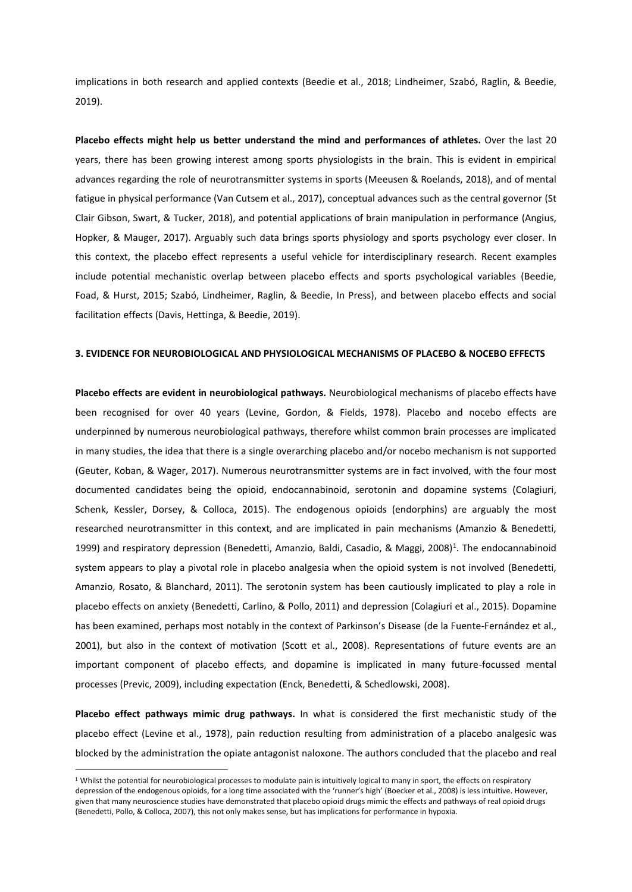implications in both research and applied contexts (Beedie et al., 2018; Lindheimer, Szabó, Raglin, & Beedie, 2019).

**Placebo effects might help us better understand the mind and performances of athletes.** Over the last 20 years, there has been growing interest among sports physiologists in the brain. This is evident in empirical advances regarding the role of neurotransmitter systems in sports (Meeusen & Roelands, 2018), and of mental fatigue in physical performance (Van Cutsem et al., 2017), conceptual advances such as the central governor (St Clair Gibson, Swart, & Tucker, 2018), and potential applications of brain manipulation in performance (Angius, Hopker, & Mauger, 2017). Arguably such data brings sports physiology and sports psychology ever closer. In this context, the placebo effect represents a useful vehicle for interdisciplinary research. Recent examples include potential mechanistic overlap between placebo effects and sports psychological variables (Beedie, Foad, & Hurst, 2015; Szabó, Lindheimer, Raglin, & Beedie, In Press), and between placebo effects and social facilitation effects (Davis, Hettinga, & Beedie, 2019).

#### **3. EVIDENCE FOR NEUROBIOLOGICAL AND PHYSIOLOGICAL MECHANISMS OF PLACEBO & NOCEBO EFFECTS**

**Placebo effects are evident in neurobiological pathways.** Neurobiological mechanisms of placebo effects have been recognised for over 40 years (Levine, Gordon, & Fields, 1978). Placebo and nocebo effects are underpinned by numerous neurobiological pathways, therefore whilst common brain processes are implicated in many studies, the idea that there is a single overarching placebo and/or nocebo mechanism is not supported (Geuter, Koban, & Wager, 2017). Numerous neurotransmitter systems are in fact involved, with the four most documented candidates being the opioid, endocannabinoid, serotonin and dopamine systems (Colagiuri, Schenk, Kessler, Dorsey, & Colloca, 2015). The endogenous opioids (endorphins) are arguably the most researched neurotransmitter in this context, and are implicated in pain mechanisms (Amanzio & Benedetti, 1999) and respiratory depression (Benedetti, Amanzio, Baldi, Casadio, & Maggi, 2008)<sup>1</sup>. The endocannabinoid system appears to play a pivotal role in placebo analgesia when the opioid system is not involved (Benedetti, Amanzio, Rosato, & Blanchard, 2011). The serotonin system has been cautiously implicated to play a role in placebo effects on anxiety (Benedetti, Carlino, & Pollo, 2011) and depression (Colagiuri et al., 2015). Dopamine has been examined, perhaps most notably in the context of Parkinson's Disease (de la Fuente-Fernández et al., 2001), but also in the context of motivation (Scott et al., 2008). Representations of future events are an important component of placebo effects, and dopamine is implicated in many future-focussed mental processes (Previc, 2009), including expectation (Enck, Benedetti, & Schedlowski, 2008).

**Placebo effect pathways mimic drug pathways.** In what is considered the first mechanistic study of the placebo effect (Levine et al., 1978), pain reduction resulting from administration of a placebo analgesic was blocked by the administration the opiate antagonist naloxone. The authors concluded that the placebo and real

<u>.</u>

<sup>&</sup>lt;sup>1</sup> Whilst the potential for neurobiological processes to modulate pain is intuitively logical to many in sport, the effects on respiratory depression of the endogenous opioids, for a long time associated with the 'runner's high' (Boecker et al., 2008) is less intuitive. However, given that many neuroscience studies have demonstrated that placebo opioid drugs mimic the effects and pathways of real opioid drugs (Benedetti, Pollo, & Colloca, 2007), this not only makes sense, but has implications for performance in hypoxia.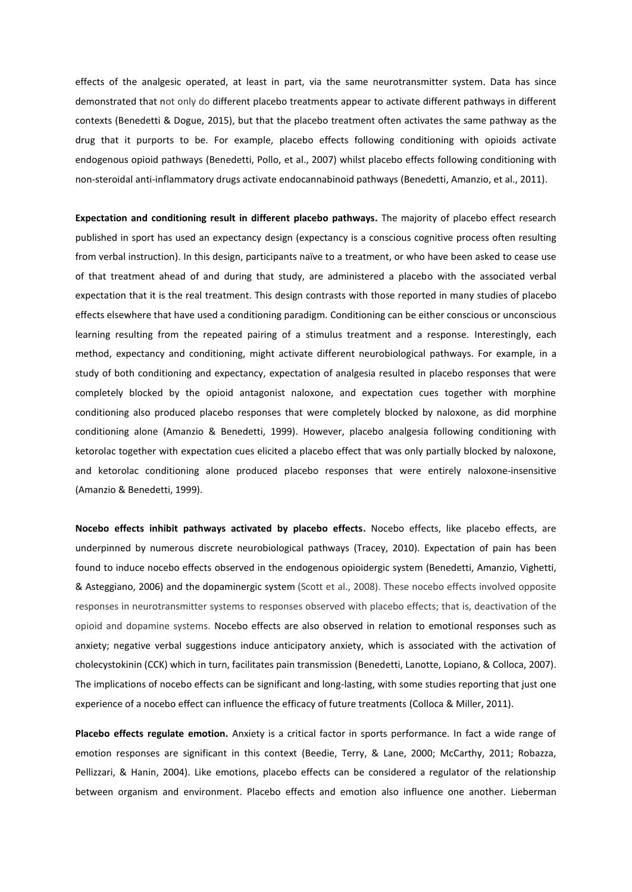effects of the analgesic operated, at least in part, via the same neurotransmitter system. Data has since demonstrated that not only do different placebo treatments appear to activate different pathways in different contexts (Benedetti & Dogue, 2015), but that the placebo treatment often activates the same pathway as the drug that it purports to be. For example, placebo effects following conditioning with opioids activate endogenous opioid pathways (Benedetti, Pollo, et al., 2007) whilst placebo effects following conditioning with non-steroidal anti-inflammatory drugs activate endocannabinoid pathways (Benedetti, Amanzio, et al., 2011).

**Expectation and conditioning result in different placebo pathways.** The majority of placebo effect research published in sport has used an expectancy design (expectancy is a conscious cognitive process often resulting from verbal instruction). In this design, participants naïve to a treatment, or who have been asked to cease use of that treatment ahead of and during that study, are administered a placebo with the associated verbal expectation that it is the real treatment. This design contrasts with those reported in many studies of placebo effects elsewhere that have used a conditioning paradigm. Conditioning can be either conscious or unconscious learning resulting from the repeated pairing of a stimulus treatment and a response. Interestingly, each method, expectancy and conditioning, might activate different neurobiological pathways. For example, in a study of both conditioning and expectancy, expectation of analgesia resulted in placebo responses that were completely blocked by the opioid antagonist naloxone, and expectation cues together with morphine conditioning also produced placebo responses that were completely blocked by naloxone, as did morphine conditioning alone (Amanzio & Benedetti, 1999). However, placebo analgesia following conditioning with ketorolac together with expectation cues elicited a placebo effect that was only partially blocked by naloxone, and ketorolac conditioning alone produced placebo responses that were entirely naloxone-insensitive (Amanzio & Benedetti, 1999).

**Nocebo effects inhibit pathways activated by placebo effects.** Nocebo effects, like placebo effects, are underpinned by numerous discrete neurobiological pathways (Tracey, 2010). Expectation of pain has been found to induce nocebo effects observed in the endogenous opioidergic system (Benedetti, Amanzio, Vighetti, & Asteggiano, 2006) and the dopaminergic system (Scott et al., 2008). These nocebo effects involved opposite responses in neurotransmitter systems to responses observed with placebo effects; that is, deactivation of the opioid and dopamine systems. Nocebo effects are also observed in relation to emotional responses such as anxiety; negative verbal suggestions induce anticipatory anxiety, which is associated with the activation of cholecystokinin (CCK) which in turn, facilitates pain transmission (Benedetti, Lanotte, Lopiano, & Colloca, 2007). The implications of nocebo effects can be significant and long-lasting, with some studies reporting that just one experience of a nocebo effect can influence the efficacy of future treatments (Colloca & Miller, 2011).

**Placebo effects regulate emotion.** Anxiety is a critical factor in sports performance. In fact a wide range of emotion responses are significant in this context (Beedie, Terry, & Lane, 2000; McCarthy, 2011; Robazza, Pellizzari, & Hanin, 2004). Like emotions, placebo effects can be considered a regulator of the relationship between organism and environment. Placebo effects and emotion also influence one another. Lieberman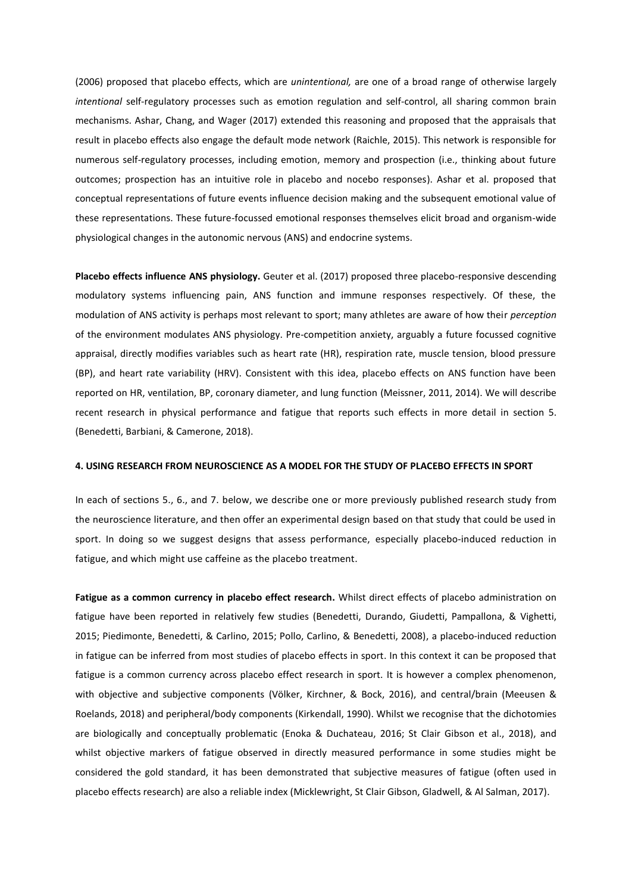(2006) proposed that placebo effects, which are *unintentional,* are one of a broad range of otherwise largely *intentional* self-regulatory processes such as emotion regulation and self-control, all sharing common brain mechanisms. Ashar, Chang, and Wager (2017) extended this reasoning and proposed that the appraisals that result in placebo effects also engage the default mode network (Raichle, 2015). This network is responsible for numerous self-regulatory processes, including emotion, memory and prospection (i.e., thinking about future outcomes; prospection has an intuitive role in placebo and nocebo responses). Ashar et al. proposed that conceptual representations of future events influence decision making and the subsequent emotional value of these representations. These future-focussed emotional responses themselves elicit broad and organism-wide physiological changes in the autonomic nervous (ANS) and endocrine systems.

**Placebo effects influence ANS physiology.** Geuter et al. (2017) proposed three placebo-responsive descending modulatory systems influencing pain, ANS function and immune responses respectively. Of these, the modulation of ANS activity is perhaps most relevant to sport; many athletes are aware of how their *perception* of the environment modulates ANS physiology. Pre-competition anxiety, arguably a future focussed cognitive appraisal, directly modifies variables such as heart rate (HR), respiration rate, muscle tension, blood pressure (BP), and heart rate variability (HRV). Consistent with this idea, placebo effects on ANS function have been reported on HR, ventilation, BP, coronary diameter, and lung function (Meissner, 2011, 2014). We will describe recent research in physical performance and fatigue that reports such effects in more detail in section 5. (Benedetti, Barbiani, & Camerone, 2018).

#### **4. USING RESEARCH FROM NEUROSCIENCE AS A MODEL FOR THE STUDY OF PLACEBO EFFECTS IN SPORT**

In each of sections 5., 6., and 7. below, we describe one or more previously published research study from the neuroscience literature, and then offer an experimental design based on that study that could be used in sport. In doing so we suggest designs that assess performance, especially placebo-induced reduction in fatigue, and which might use caffeine as the placebo treatment.

**Fatigue as a common currency in placebo effect research.** Whilst direct effects of placebo administration on fatigue have been reported in relatively few studies (Benedetti, Durando, Giudetti, Pampallona, & Vighetti, 2015; Piedimonte, Benedetti, & Carlino, 2015; Pollo, Carlino, & Benedetti, 2008), a placebo-induced reduction in fatigue can be inferred from most studies of placebo effects in sport. In this context it can be proposed that fatigue is a common currency across placebo effect research in sport. It is however a complex phenomenon, with objective and subjective components (Völker, Kirchner, & Bock, 2016), and central/brain (Meeusen & Roelands, 2018) and peripheral/body components (Kirkendall, 1990). Whilst we recognise that the dichotomies are biologically and conceptually problematic (Enoka & Duchateau, 2016; St Clair Gibson et al., 2018), and whilst objective markers of fatigue observed in directly measured performance in some studies might be considered the gold standard, it has been demonstrated that subjective measures of fatigue (often used in placebo effects research) are also a reliable index (Micklewright, St Clair Gibson, Gladwell, & Al Salman, 2017).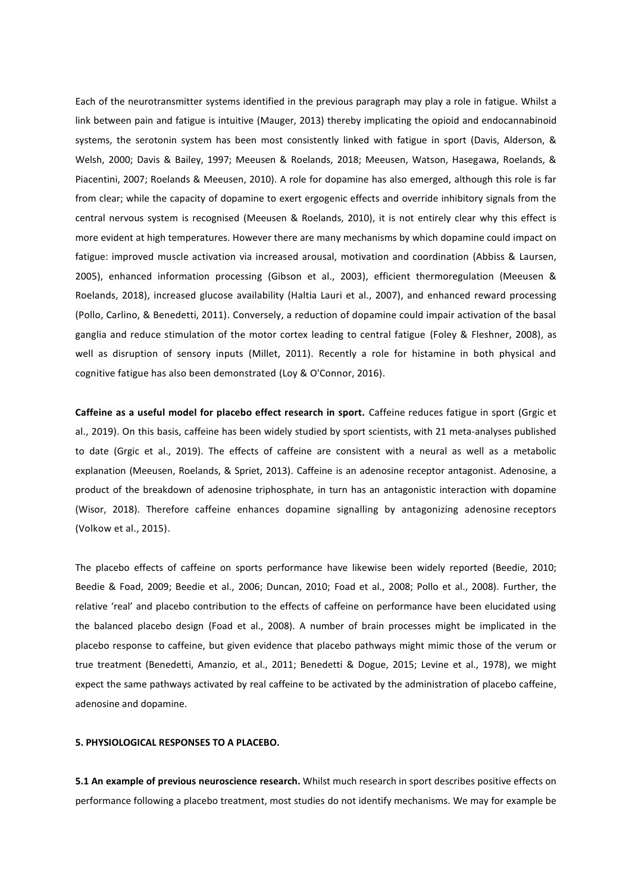Each of the neurotransmitter systems identified in the previous paragraph may play a role in fatigue. Whilst a link between pain and fatigue is intuitive (Mauger, 2013) thereby implicating the opioid and endocannabinoid systems, the serotonin system has been most consistently linked with fatigue in sport (Davis, Alderson, & Welsh, 2000; Davis & Bailey, 1997; Meeusen & Roelands, 2018; Meeusen, Watson, Hasegawa, Roelands, & Piacentini, 2007; Roelands & Meeusen, 2010). A role for dopamine has also emerged, although this role is far from clear; while the capacity of dopamine to exert ergogenic effects and override inhibitory signals from the central nervous system is recognised (Meeusen & Roelands, 2010), it is not entirely clear why this effect is more evident at high temperatures. However there are many mechanisms by which dopamine could impact on fatigue: improved muscle activation via increased arousal, motivation and coordination (Abbiss & Laursen, 2005), enhanced information processing (Gibson et al., 2003), efficient thermoregulation (Meeusen & Roelands, 2018), increased glucose availability (Haltia Lauri et al., 2007), and enhanced reward processing (Pollo, Carlino, & Benedetti, 2011). Conversely, a reduction of dopamine could impair activation of the basal ganglia and reduce stimulation of the motor cortex leading to central fatigue (Foley & Fleshner, 2008), as well as disruption of sensory inputs (Millet, 2011). Recently a role for histamine in both physical and cognitive fatigue has also been demonstrated (Loy & O'Connor, 2016).

**Caffeine as a useful model for placebo effect research in sport.** Caffeine reduces fatigue in sport (Grgic et al., 2019). On this basis, caffeine has been widely studied by sport scientists, with 21 meta-analyses published to date (Grgic et al., 2019). The effects of caffeine are consistent with a neural as well as a metabolic explanation (Meeusen, Roelands, & Spriet, 2013). Caffeine is an adenosine receptor antagonist. Adenosine, a product of the breakdown of adenosine triphosphate, in turn has an antagonistic interaction with dopamine (Wisor, 2018). Therefore caffeine enhances dopamine signalling by antagonizing adenosine receptors (Volkow et al., 2015).

The placebo effects of caffeine on sports performance have likewise been widely reported (Beedie, 2010; Beedie & Foad, 2009; Beedie et al., 2006; Duncan, 2010; Foad et al., 2008; Pollo et al., 2008). Further, the relative 'real' and placebo contribution to the effects of caffeine on performance have been elucidated using the balanced placebo design (Foad et al., 2008). A number of brain processes might be implicated in the placebo response to caffeine, but given evidence that placebo pathways might mimic those of the verum or true treatment (Benedetti, Amanzio, et al., 2011; Benedetti & Dogue, 2015; Levine et al., 1978), we might expect the same pathways activated by real caffeine to be activated by the administration of placebo caffeine, adenosine and dopamine.

#### **5. PHYSIOLOGICAL RESPONSES TO A PLACEBO.**

**5.1 An example of previous neuroscience research.** Whilst much research in sport describes positive effects on performance following a placebo treatment, most studies do not identify mechanisms. We may for example be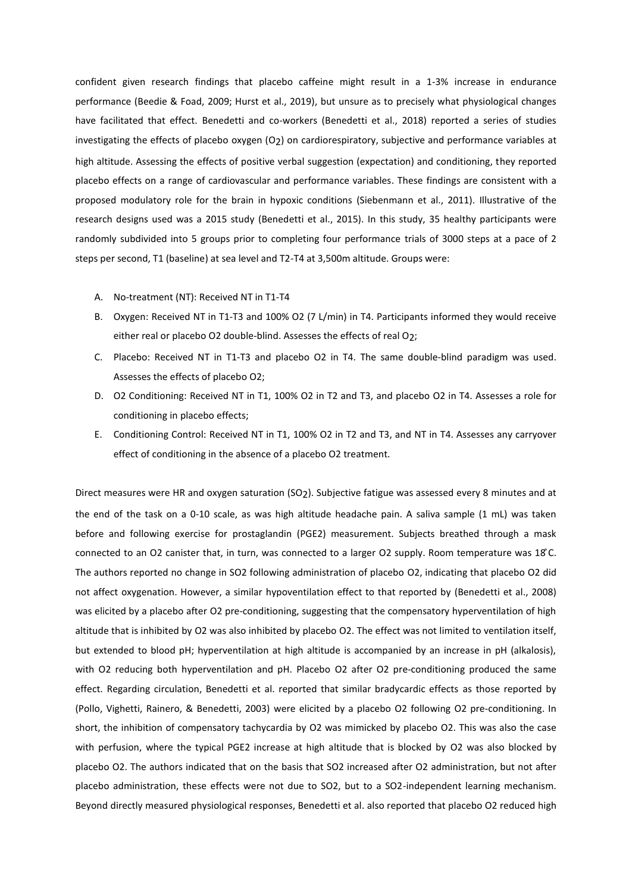confident given research findings that placebo caffeine might result in a 1-3% increase in endurance performance (Beedie & Foad, 2009; Hurst et al., 2019), but unsure as to precisely what physiological changes have facilitated that effect. Benedetti and co-workers (Benedetti et al., 2018) reported a series of studies investigating the effects of placebo oxygen (O2) on cardiorespiratory, subjective and performance variables at high altitude. Assessing the effects of positive verbal suggestion (expectation) and conditioning, they reported placebo effects on a range of cardiovascular and performance variables. These findings are consistent with a proposed modulatory role for the brain in hypoxic conditions (Siebenmann et al., 2011). Illustrative of the research designs used was a 2015 study (Benedetti et al., 2015). In this study, 35 healthy participants were randomly subdivided into 5 groups prior to completing four performance trials of 3000 steps at a pace of 2 steps per second, T1 (baseline) at sea level and T2-T4 at 3,500m altitude. Groups were:

- A. No-treatment (NT): Received NT in T1-T4
- B. Oxygen: Received NT in T1-T3 and 100% O2 (7 L/min) in T4. Participants informed they would receive either real or placebo O2 double-blind. Assesses the effects of real O2;
- C. Placebo: Received NT in T1-T3 and placebo O2 in T4. The same double-blind paradigm was used. Assesses the effects of placebo O2;
- D. O2 Conditioning: Received NT in T1, 100% O2 in T2 and T3, and placebo O2 in T4. Assesses a role for conditioning in placebo effects;
- E. Conditioning Control: Received NT in T1, 100% O2 in T2 and T3, and NT in T4. Assesses any carryover effect of conditioning in the absence of a placebo O2 treatment.

Direct measures were HR and oxygen saturation (SO2). Subjective fatigue was assessed every 8 minutes and at the end of the task on a 0-10 scale, as was high altitude headache pain. A saliva sample (1 mL) was taken before and following exercise for prostaglandin (PGE2) measurement. Subjects breathed through a mask connected to an O2 canister that, in turn, was connected to a larger O2 supply. Room temperature was 18 ̊C. The authors reported no change in SO2 following administration of placebo O2, indicating that placebo O2 did not affect oxygenation. However, a similar hypoventilation effect to that reported by (Benedetti et al., 2008) was elicited by a placebo after O2 pre-conditioning, suggesting that the compensatory hyperventilation of high altitude that is inhibited by O2 was also inhibited by placebo O2. The effect was not limited to ventilation itself, but extended to blood pH; hyperventilation at high altitude is accompanied by an increase in pH (alkalosis), with O2 reducing both hyperventilation and pH. Placebo O2 after O2 pre-conditioning produced the same effect. Regarding circulation, Benedetti et al. reported that similar bradycardic effects as those reported by (Pollo, Vighetti, Rainero, & Benedetti, 2003) were elicited by a placebo O2 following O2 pre-conditioning. In short, the inhibition of compensatory tachycardia by O2 was mimicked by placebo O2. This was also the case with perfusion, where the typical PGE2 increase at high altitude that is blocked by O2 was also blocked by placebo O2. The authors indicated that on the basis that SO2 increased after O2 administration, but not after placebo administration, these effects were not due to SO2, but to a SO2-independent learning mechanism. Beyond directly measured physiological responses, Benedetti et al. also reported that placebo O2 reduced high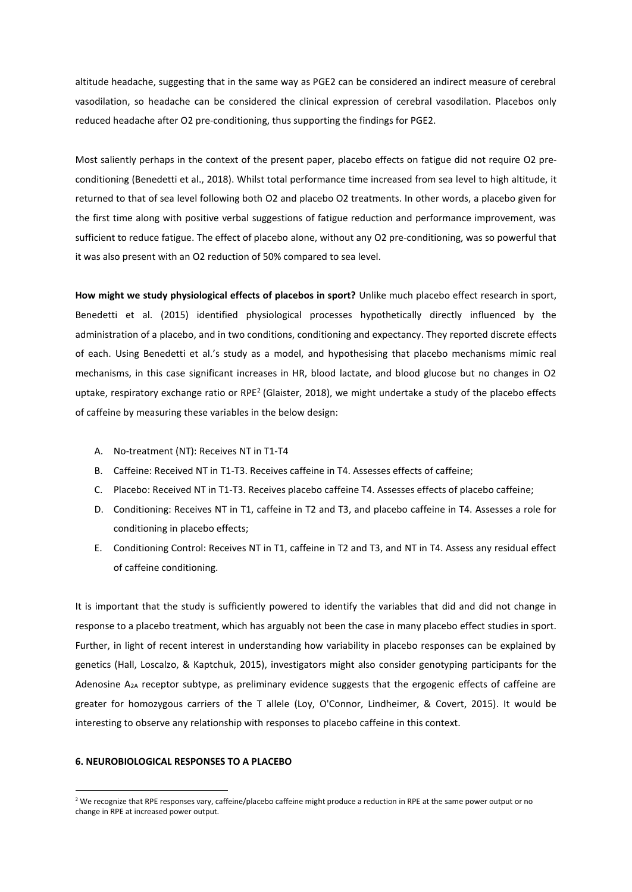altitude headache, suggesting that in the same way as PGE2 can be considered an indirect measure of cerebral vasodilation, so headache can be considered the clinical expression of cerebral vasodilation. Placebos only reduced headache after O2 pre-conditioning, thus supporting the findings for PGE2.

Most saliently perhaps in the context of the present paper, placebo effects on fatigue did not require O2 preconditioning (Benedetti et al., 2018). Whilst total performance time increased from sea level to high altitude, it returned to that of sea level following both O2 and placebo O2 treatments. In other words, a placebo given for the first time along with positive verbal suggestions of fatigue reduction and performance improvement, was sufficient to reduce fatigue. The effect of placebo alone, without any O2 pre-conditioning, was so powerful that it was also present with an O2 reduction of 50% compared to sea level.

**How might we study physiological effects of placebos in sport?** Unlike much placebo effect research in sport, Benedetti et al. (2015) identified physiological processes hypothetically directly influenced by the administration of a placebo, and in two conditions, conditioning and expectancy. They reported discrete effects of each. Using Benedetti et al.'s study as a model, and hypothesising that placebo mechanisms mimic real mechanisms, in this case significant increases in HR, blood lactate, and blood glucose but no changes in O2 uptake, respiratory exchange ratio or RPE<sup>2</sup> (Glaister, 2018), we might undertake a study of the placebo effects of caffeine by measuring these variables in the below design:

- A. No-treatment (NT): Receives NT in T1-T4
- B. Caffeine: Received NT in T1-T3. Receives caffeine in T4. Assesses effects of caffeine;
- C. Placebo: Received NT in T1-T3. Receives placebo caffeine T4. Assesses effects of placebo caffeine;
- D. Conditioning: Receives NT in T1, caffeine in T2 and T3, and placebo caffeine in T4. Assesses a role for conditioning in placebo effects;
- E. Conditioning Control: Receives NT in T1, caffeine in T2 and T3, and NT in T4. Assess any residual effect of caffeine conditioning.

It is important that the study is sufficiently powered to identify the variables that did and did not change in response to a placebo treatment, which has arguably not been the case in many placebo effect studies in sport. Further, in light of recent interest in understanding how variability in placebo responses can be explained by genetics (Hall, Loscalzo, & Kaptchuk, 2015), investigators might also consider genotyping participants for the Adenosine A2A receptor subtype, as preliminary evidence suggests that the ergogenic effects of caffeine are greater for homozygous carriers of the T allele (Loy, O'Connor, Lindheimer, & Covert, 2015). It would be interesting to observe any relationship with responses to placebo caffeine in this context.

#### **6. NEUROBIOLOGICAL RESPONSES TO A PLACEBO**

<u>.</u>

<sup>&</sup>lt;sup>2</sup> We recognize that RPE responses vary, caffeine/placebo caffeine might produce a reduction in RPE at the same power output or no change in RPE at increased power output.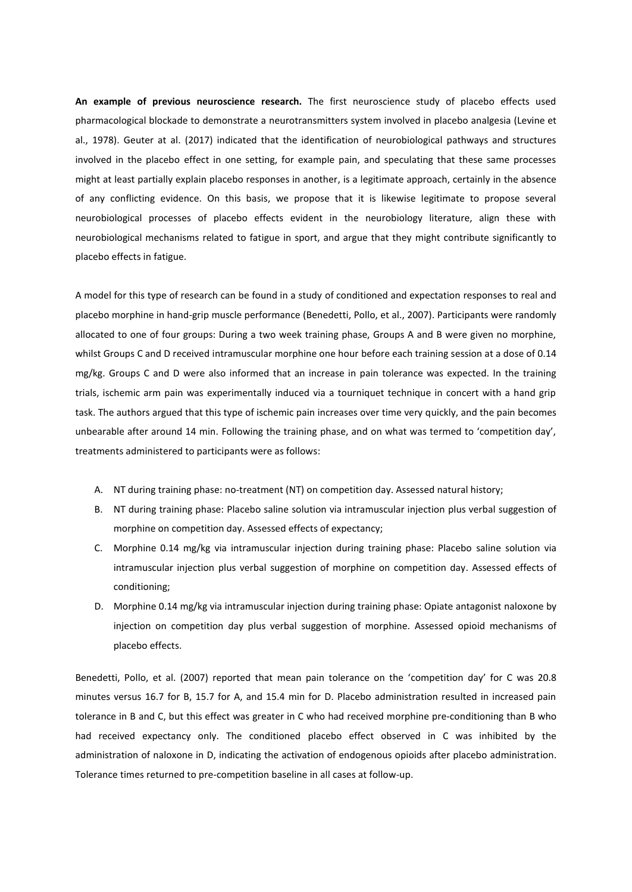**An example of previous neuroscience research.** The first neuroscience study of placebo effects used pharmacological blockade to demonstrate a neurotransmitters system involved in placebo analgesia (Levine et al., 1978). Geuter at al. (2017) indicated that the identification of neurobiological pathways and structures involved in the placebo effect in one setting, for example pain, and speculating that these same processes might at least partially explain placebo responses in another, is a legitimate approach, certainly in the absence of any conflicting evidence. On this basis, we propose that it is likewise legitimate to propose several neurobiological processes of placebo effects evident in the neurobiology literature, align these with neurobiological mechanisms related to fatigue in sport, and argue that they might contribute significantly to placebo effects in fatigue.

A model for this type of research can be found in a study of conditioned and expectation responses to real and placebo morphine in hand-grip muscle performance (Benedetti, Pollo, et al., 2007). Participants were randomly allocated to one of four groups: During a two week training phase, Groups A and B were given no morphine, whilst Groups C and D received intramuscular morphine one hour before each training session at a dose of 0.14 mg/kg. Groups C and D were also informed that an increase in pain tolerance was expected. In the training trials, ischemic arm pain was experimentally induced via a tourniquet technique in concert with a hand grip task. The authors argued that this type of ischemic pain increases over time very quickly, and the pain becomes unbearable after around 14 min. Following the training phase, and on what was termed to 'competition day', treatments administered to participants were as follows:

- A. NT during training phase: no-treatment (NT) on competition day. Assessed natural history;
- B. NT during training phase: Placebo saline solution via intramuscular injection plus verbal suggestion of morphine on competition day. Assessed effects of expectancy;
- C. Morphine 0.14 mg/kg via intramuscular injection during training phase: Placebo saline solution via intramuscular injection plus verbal suggestion of morphine on competition day. Assessed effects of conditioning;
- D. Morphine 0.14 mg/kg via intramuscular injection during training phase: Opiate antagonist naloxone by injection on competition day plus verbal suggestion of morphine. Assessed opioid mechanisms of placebo effects.

Benedetti, Pollo, et al. (2007) reported that mean pain tolerance on the 'competition day' for C was 20.8 minutes versus 16.7 for B, 15.7 for A, and 15.4 min for D. Placebo administration resulted in increased pain tolerance in B and C, but this effect was greater in C who had received morphine pre-conditioning than B who had received expectancy only. The conditioned placebo effect observed in C was inhibited by the administration of naloxone in D, indicating the activation of endogenous opioids after placebo administration. Tolerance times returned to pre-competition baseline in all cases at follow-up.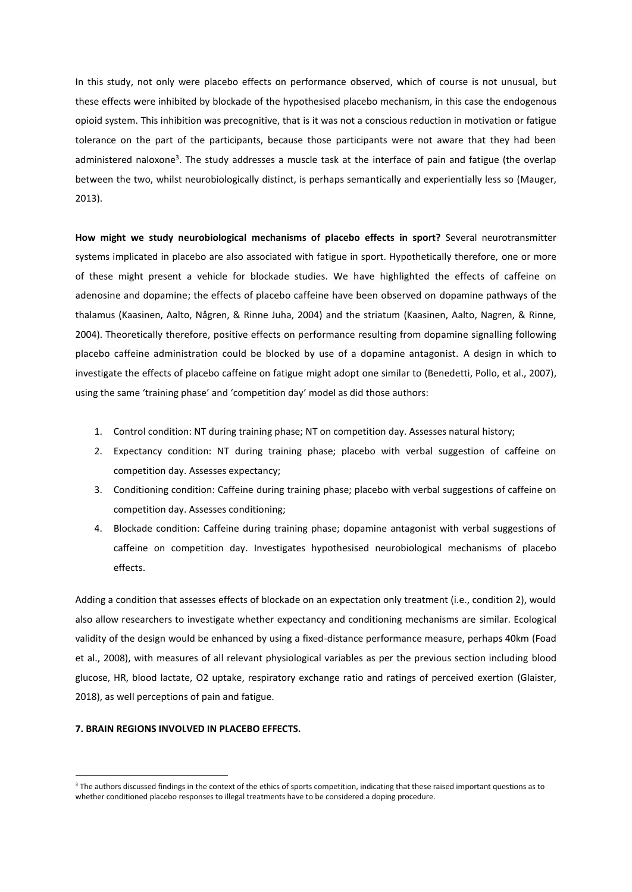In this study, not only were placebo effects on performance observed, which of course is not unusual, but these effects were inhibited by blockade of the hypothesised placebo mechanism, in this case the endogenous opioid system. This inhibition was precognitive, that is it was not a conscious reduction in motivation or fatigue tolerance on the part of the participants, because those participants were not aware that they had been administered naloxone<sup>3</sup>. The study addresses a muscle task at the interface of pain and fatigue (the overlap between the two, whilst neurobiologically distinct, is perhaps semantically and experientially less so (Mauger, 2013).

**How might we study neurobiological mechanisms of placebo effects in sport?** Several neurotransmitter systems implicated in placebo are also associated with fatigue in sport. Hypothetically therefore, one or more of these might present a vehicle for blockade studies. We have highlighted the effects of caffeine on adenosine and dopamine; the effects of placebo caffeine have been observed on dopamine pathways of the thalamus (Kaasinen, Aalto, Någren, & Rinne Juha, 2004) and the striatum (Kaasinen, Aalto, Nagren, & Rinne, 2004). Theoretically therefore, positive effects on performance resulting from dopamine signalling following placebo caffeine administration could be blocked by use of a dopamine antagonist. A design in which to investigate the effects of placebo caffeine on fatigue might adopt one similar to (Benedetti, Pollo, et al., 2007), using the same 'training phase' and 'competition day' model as did those authors:

- 1. Control condition: NT during training phase; NT on competition day. Assesses natural history;
- 2. Expectancy condition: NT during training phase; placebo with verbal suggestion of caffeine on competition day. Assesses expectancy;
- 3. Conditioning condition: Caffeine during training phase; placebo with verbal suggestions of caffeine on competition day. Assesses conditioning;
- 4. Blockade condition: Caffeine during training phase; dopamine antagonist with verbal suggestions of caffeine on competition day. Investigates hypothesised neurobiological mechanisms of placebo effects.

Adding a condition that assesses effects of blockade on an expectation only treatment (i.e., condition 2), would also allow researchers to investigate whether expectancy and conditioning mechanisms are similar. Ecological validity of the design would be enhanced by using a fixed-distance performance measure, perhaps 40km (Foad et al., 2008), with measures of all relevant physiological variables as per the previous section including blood glucose, HR, blood lactate, O2 uptake, respiratory exchange ratio and ratings of perceived exertion (Glaister, 2018), as well perceptions of pain and fatigue.

#### **7. BRAIN REGIONS INVOLVED IN PLACEBO EFFECTS.**

<u>.</u>

<sup>&</sup>lt;sup>3</sup> The authors discussed findings in the context of the ethics of sports competition, indicating that these raised important questions as to whether conditioned placebo responses to illegal treatments have to be considered a doping procedure.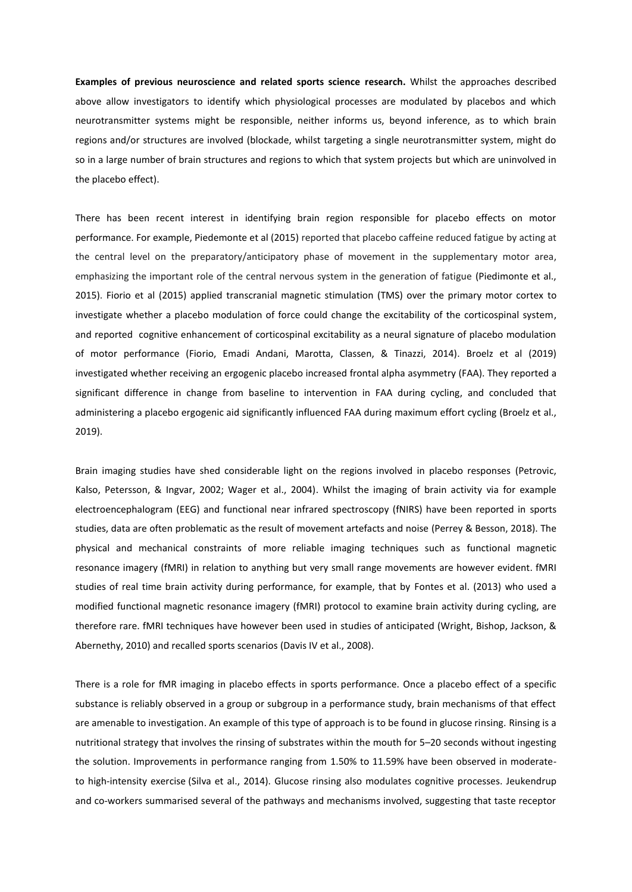**Examples of previous neuroscience and related sports science research.** Whilst the approaches described above allow investigators to identify which physiological processes are modulated by placebos and which neurotransmitter systems might be responsible, neither informs us, beyond inference, as to which brain regions and/or structures are involved (blockade, whilst targeting a single neurotransmitter system, might do so in a large number of brain structures and regions to which that system projects but which are uninvolved in the placebo effect).

There has been recent interest in identifying brain region responsible for placebo effects on motor performance. For example, Piedemonte et al (2015) reported that placebo caffeine reduced fatigue by acting at the central level on the preparatory/anticipatory phase of movement in the supplementary motor area, emphasizing the important role of the central nervous system in the generation of fatigue (Piedimonte et al., 2015). Fiorio et al (2015) applied transcranial magnetic stimulation (TMS) over the primary motor cortex to investigate whether a placebo modulation of force could change the excitability of the corticospinal system, and reported cognitive enhancement of corticospinal excitability as a neural signature of placebo modulation of motor performance (Fiorio, Emadi Andani, Marotta, Classen, & Tinazzi, 2014). Broelz et al (2019) investigated whether receiving an ergogenic placebo increased frontal alpha asymmetry (FAA). They reported a significant difference in change from baseline to intervention in FAA during cycling, and concluded that administering a placebo ergogenic aid significantly influenced FAA during maximum effort cycling (Broelz et al., 2019).

Brain imaging studies have shed considerable light on the regions involved in placebo responses (Petrovic, Kalso, Petersson, & Ingvar, 2002; Wager et al., 2004). Whilst the imaging of brain activity via for example electroencephalogram (EEG) and functional near infrared spectroscopy (fNIRS) have been reported in sports studies, data are often problematic as the result of movement artefacts and noise (Perrey & Besson, 2018). The physical and mechanical constraints of more reliable imaging techniques such as functional magnetic resonance imagery (fMRI) in relation to anything but very small range movements are however evident. fMRI studies of real time brain activity during performance, for example, that by Fontes et al. (2013) who used a modified functional magnetic resonance imagery (fMRI) protocol to examine brain activity during cycling, are therefore rare. fMRI techniques have however been used in studies of anticipated (Wright, Bishop, Jackson, & Abernethy, 2010) and recalled sports scenarios (Davis IV et al., 2008).

There is a role for fMR imaging in placebo effects in sports performance. Once a placebo effect of a specific substance is reliably observed in a group or subgroup in a performance study, brain mechanisms of that effect are amenable to investigation. An example of this type of approach is to be found in glucose rinsing. Rinsing is a nutritional strategy that involves the rinsing of substrates within the mouth for 5–20 seconds without ingesting the solution. Improvements in performance ranging from 1.50% to 11.59% have been observed in moderateto high-intensity exercise (Silva et al., 2014). Glucose rinsing also modulates cognitive processes. Jeukendrup and co-workers summarised several of the pathways and mechanisms involved, suggesting that taste receptor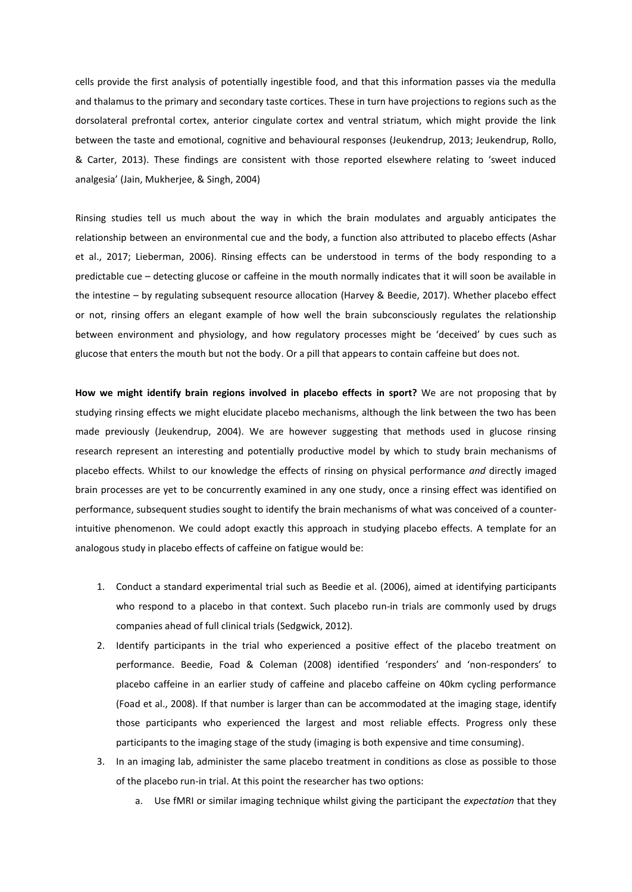cells provide the first analysis of potentially ingestible food, and that this information passes via the medulla and thalamus to the primary and secondary taste cortices. These in turn have projections to regions such as the dorsolateral prefrontal cortex, anterior cingulate cortex and ventral striatum, which might provide the link between the taste and emotional, cognitive and behavioural responses (Jeukendrup, 2013; Jeukendrup, Rollo, & Carter, 2013). These findings are consistent with those reported elsewhere relating to 'sweet induced analgesia' (Jain, Mukherjee, & Singh, 2004)

Rinsing studies tell us much about the way in which the brain modulates and arguably anticipates the relationship between an environmental cue and the body, a function also attributed to placebo effects (Ashar et al., 2017; Lieberman, 2006). Rinsing effects can be understood in terms of the body responding to a predictable cue – detecting glucose or caffeine in the mouth normally indicates that it will soon be available in the intestine – by regulating subsequent resource allocation (Harvey & Beedie, 2017). Whether placebo effect or not, rinsing offers an elegant example of how well the brain subconsciously regulates the relationship between environment and physiology, and how regulatory processes might be 'deceived' by cues such as glucose that enters the mouth but not the body. Or a pill that appears to contain caffeine but does not.

**How we might identify brain regions involved in placebo effects in sport?** We are not proposing that by studying rinsing effects we might elucidate placebo mechanisms, although the link between the two has been made previously (Jeukendrup, 2004). We are however suggesting that methods used in glucose rinsing research represent an interesting and potentially productive model by which to study brain mechanisms of placebo effects. Whilst to our knowledge the effects of rinsing on physical performance *and* directly imaged brain processes are yet to be concurrently examined in any one study, once a rinsing effect was identified on performance, subsequent studies sought to identify the brain mechanisms of what was conceived of a counterintuitive phenomenon. We could adopt exactly this approach in studying placebo effects. A template for an analogous study in placebo effects of caffeine on fatigue would be:

- 1. Conduct a standard experimental trial such as Beedie et al. (2006), aimed at identifying participants who respond to a placebo in that context. Such placebo run-in trials are commonly used by drugs companies ahead of full clinical trials (Sedgwick, 2012).
- 2. Identify participants in the trial who experienced a positive effect of the placebo treatment on performance. Beedie, Foad & Coleman (2008) identified 'responders' and 'non-responders' to placebo caffeine in an earlier study of caffeine and placebo caffeine on 40km cycling performance (Foad et al., 2008). If that number is larger than can be accommodated at the imaging stage, identify those participants who experienced the largest and most reliable effects. Progress only these participants to the imaging stage of the study (imaging is both expensive and time consuming).
- 3. In an imaging lab, administer the same placebo treatment in conditions as close as possible to those of the placebo run-in trial. At this point the researcher has two options:
	- a. Use fMRI or similar imaging technique whilst giving the participant the *expectation* that they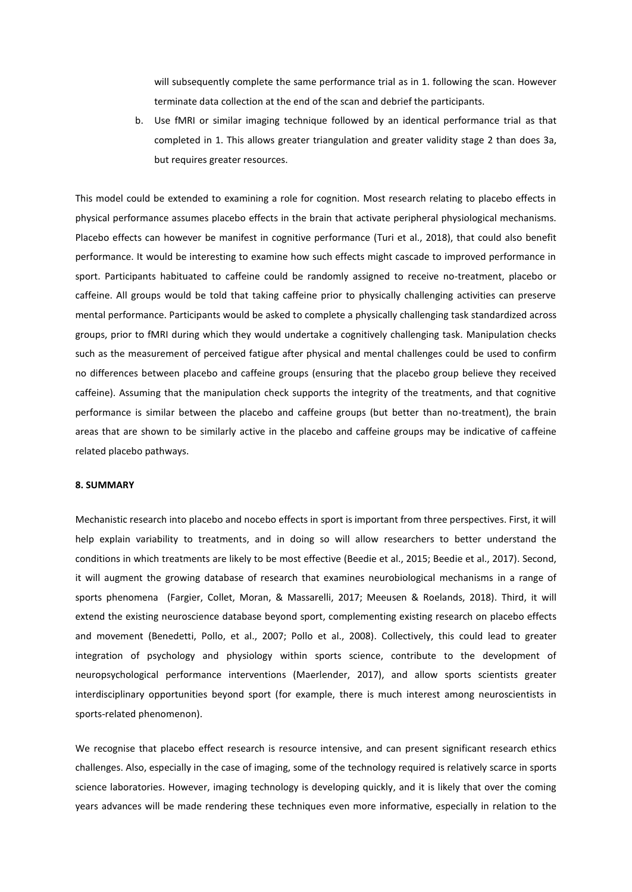will subsequently complete the same performance trial as in 1. following the scan. However terminate data collection at the end of the scan and debrief the participants.

b. Use fMRI or similar imaging technique followed by an identical performance trial as that completed in 1. This allows greater triangulation and greater validity stage 2 than does 3a, but requires greater resources.

This model could be extended to examining a role for cognition. Most research relating to placebo effects in physical performance assumes placebo effects in the brain that activate peripheral physiological mechanisms. Placebo effects can however be manifest in cognitive performance (Turi et al., 2018), that could also benefit performance. It would be interesting to examine how such effects might cascade to improved performance in sport. Participants habituated to caffeine could be randomly assigned to receive no-treatment, placebo or caffeine. All groups would be told that taking caffeine prior to physically challenging activities can preserve mental performance. Participants would be asked to complete a physically challenging task standardized across groups, prior to fMRI during which they would undertake a cognitively challenging task. Manipulation checks such as the measurement of perceived fatigue after physical and mental challenges could be used to confirm no differences between placebo and caffeine groups (ensuring that the placebo group believe they received caffeine). Assuming that the manipulation check supports the integrity of the treatments, and that cognitive performance is similar between the placebo and caffeine groups (but better than no-treatment), the brain areas that are shown to be similarly active in the placebo and caffeine groups may be indicative of caffeine related placebo pathways.

#### **8. SUMMARY**

Mechanistic research into placebo and nocebo effects in sport is important from three perspectives. First, it will help explain variability to treatments, and in doing so will allow researchers to better understand the conditions in which treatments are likely to be most effective (Beedie et al., 2015; Beedie et al., 2017). Second, it will augment the growing database of research that examines neurobiological mechanisms in a range of sports phenomena (Fargier, Collet, Moran, & Massarelli, 2017; Meeusen & Roelands, 2018). Third, it will extend the existing neuroscience database beyond sport, complementing existing research on placebo effects and movement (Benedetti, Pollo, et al., 2007; Pollo et al., 2008). Collectively, this could lead to greater integration of psychology and physiology within sports science, contribute to the development of neuropsychological performance interventions (Maerlender, 2017), and allow sports scientists greater interdisciplinary opportunities beyond sport (for example, there is much interest among neuroscientists in sports-related phenomenon).

We recognise that placebo effect research is resource intensive, and can present significant research ethics challenges. Also, especially in the case of imaging, some of the technology required is relatively scarce in sports science laboratories. However, imaging technology is developing quickly, and it is likely that over the coming years advances will be made rendering these techniques even more informative, especially in relation to the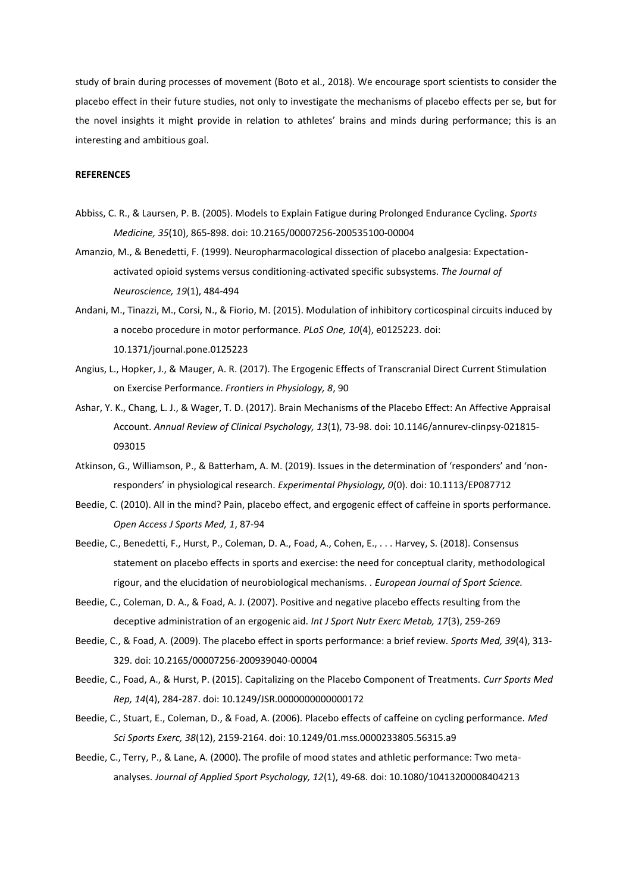study of brain during processes of movement (Boto et al., 2018). We encourage sport scientists to consider the placebo effect in their future studies, not only to investigate the mechanisms of placebo effects per se, but for the novel insights it might provide in relation to athletes' brains and minds during performance; this is an interesting and ambitious goal.

#### **REFERENCES**

- Abbiss, C. R., & Laursen, P. B. (2005). Models to Explain Fatigue during Prolonged Endurance Cycling. *Sports Medicine, 35*(10), 865-898. doi: 10.2165/00007256-200535100-00004
- Amanzio, M., & Benedetti, F. (1999). Neuropharmacological dissection of placebo analgesia: Expectationactivated opioid systems versus conditioning-activated specific subsystems. *The Journal of Neuroscience, 19*(1), 484-494
- Andani, M., Tinazzi, M., Corsi, N., & Fiorio, M. (2015). Modulation of inhibitory corticospinal circuits induced by a nocebo procedure in motor performance. *PLoS One, 10*(4), e0125223. doi: 10.1371/journal.pone.0125223
- Angius, L., Hopker, J., & Mauger, A. R. (2017). The Ergogenic Effects of Transcranial Direct Current Stimulation on Exercise Performance. *Frontiers in Physiology, 8*, 90
- Ashar, Y. K., Chang, L. J., & Wager, T. D. (2017). Brain Mechanisms of the Placebo Effect: An Affective Appraisal Account. *Annual Review of Clinical Psychology, 13*(1), 73-98. doi: 10.1146/annurev-clinpsy-021815- 093015
- Atkinson, G., Williamson, P., & Batterham, A. M. (2019). Issues in the determination of 'responders' and 'nonresponders' in physiological research. *Experimental Physiology, 0*(0). doi: 10.1113/EP087712
- Beedie, C. (2010). All in the mind? Pain, placebo effect, and ergogenic effect of caffeine in sports performance. *Open Access J Sports Med, 1*, 87-94
- Beedie, C., Benedetti, F., Hurst, P., Coleman, D. A., Foad, A., Cohen, E., . . . Harvey, S. (2018). Consensus statement on placebo effects in sports and exercise: the need for conceptual clarity, methodological rigour, and the elucidation of neurobiological mechanisms. . *European Journal of Sport Science.*
- Beedie, C., Coleman, D. A., & Foad, A. J. (2007). Positive and negative placebo effects resulting from the deceptive administration of an ergogenic aid. *Int J Sport Nutr Exerc Metab, 17*(3), 259-269
- Beedie, C., & Foad, A. (2009). The placebo effect in sports performance: a brief review. *Sports Med, 39*(4), 313- 329. doi: 10.2165/00007256-200939040-00004
- Beedie, C., Foad, A., & Hurst, P. (2015). Capitalizing on the Placebo Component of Treatments. *Curr Sports Med Rep, 14*(4), 284-287. doi: 10.1249/JSR.0000000000000172
- Beedie, C., Stuart, E., Coleman, D., & Foad, A. (2006). Placebo effects of caffeine on cycling performance. *Med Sci Sports Exerc, 38*(12), 2159-2164. doi: 10.1249/01.mss.0000233805.56315.a9
- Beedie, C., Terry, P., & Lane, A. (2000). The profile of mood states and athletic performance: Two metaanalyses. *Journal of Applied Sport Psychology, 12*(1), 49-68. doi: 10.1080/10413200008404213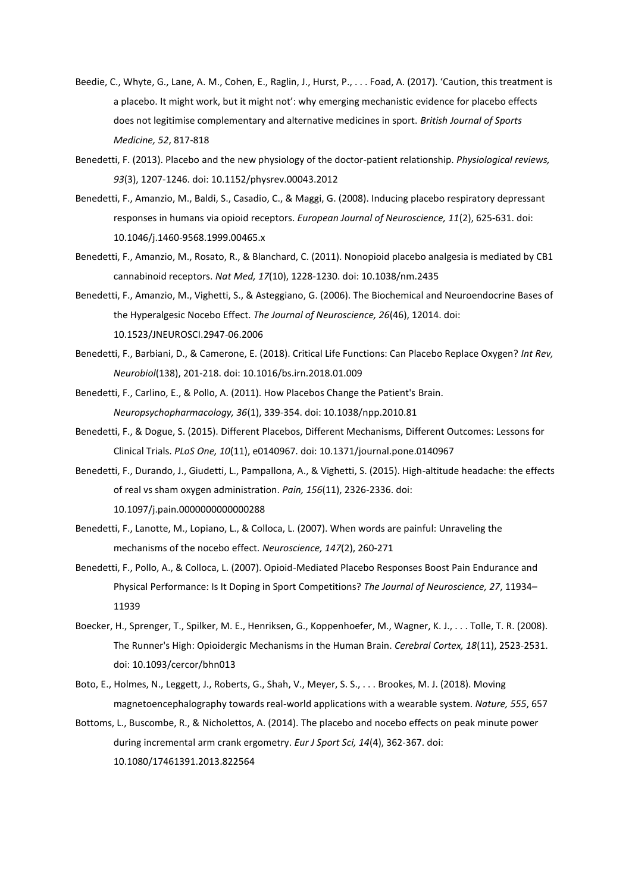- Beedie, C., Whyte, G., Lane, A. M., Cohen, E., Raglin, J., Hurst, P., . . . Foad, A. (2017). 'Caution, this treatment is a placebo. It might work, but it might not': why emerging mechanistic evidence for placebo effects does not legitimise complementary and alternative medicines in sport. *British Journal of Sports Medicine, 52*, 817-818
- Benedetti, F. (2013). Placebo and the new physiology of the doctor-patient relationship. *Physiological reviews, 93*(3), 1207-1246. doi: 10.1152/physrev.00043.2012
- Benedetti, F., Amanzio, M., Baldi, S., Casadio, C., & Maggi, G. (2008). Inducing placebo respiratory depressant responses in humans via opioid receptors. *European Journal of Neuroscience, 11*(2), 625-631. doi: 10.1046/j.1460-9568.1999.00465.x
- Benedetti, F., Amanzio, M., Rosato, R., & Blanchard, C. (2011). Nonopioid placebo analgesia is mediated by CB1 cannabinoid receptors. *Nat Med, 17*(10), 1228-1230. doi: 10.1038/nm.2435
- Benedetti, F., Amanzio, M., Vighetti, S., & Asteggiano, G. (2006). The Biochemical and Neuroendocrine Bases of the Hyperalgesic Nocebo Effect. *The Journal of Neuroscience, 26*(46), 12014. doi: 10.1523/JNEUROSCI.2947-06.2006
- Benedetti, F., Barbiani, D., & Camerone, E. (2018). Critical Life Functions: Can Placebo Replace Oxygen? *Int Rev, Neurobiol*(138), 201-218. doi: 10.1016/bs.irn.2018.01.009

Benedetti, F., Carlino, E., & Pollo, A. (2011). How Placebos Change the Patient's Brain. *Neuropsychopharmacology, 36*(1), 339-354. doi: 10.1038/npp.2010.81

- Benedetti, F., & Dogue, S. (2015). Different Placebos, Different Mechanisms, Different Outcomes: Lessons for Clinical Trials. *PLoS One, 10*(11), e0140967. doi: 10.1371/journal.pone.0140967
- Benedetti, F., Durando, J., Giudetti, L., Pampallona, A., & Vighetti, S. (2015). High-altitude headache: the effects of real vs sham oxygen administration. *Pain, 156*(11), 2326-2336. doi: 10.1097/j.pain.0000000000000288
- Benedetti, F., Lanotte, M., Lopiano, L., & Colloca, L. (2007). When words are painful: Unraveling the mechanisms of the nocebo effect. *Neuroscience, 147*(2), 260-271
- Benedetti, F., Pollo, A., & Colloca, L. (2007). Opioid-Mediated Placebo Responses Boost Pain Endurance and Physical Performance: Is It Doping in Sport Competitions? *The Journal of Neuroscience, 27*, 11934– 11939
- Boecker, H., Sprenger, T., Spilker, M. E., Henriksen, G., Koppenhoefer, M., Wagner, K. J., . . . Tolle, T. R. (2008). The Runner's High: Opioidergic Mechanisms in the Human Brain. *Cerebral Cortex, 18*(11), 2523-2531. doi: 10.1093/cercor/bhn013
- Boto, E., Holmes, N., Leggett, J., Roberts, G., Shah, V., Meyer, S. S., . . . Brookes, M. J. (2018). Moving magnetoencephalography towards real-world applications with a wearable system. *Nature, 555*, 657
- Bottoms, L., Buscombe, R., & Nicholettos, A. (2014). The placebo and nocebo effects on peak minute power during incremental arm crank ergometry. *Eur J Sport Sci, 14*(4), 362-367. doi: 10.1080/17461391.2013.822564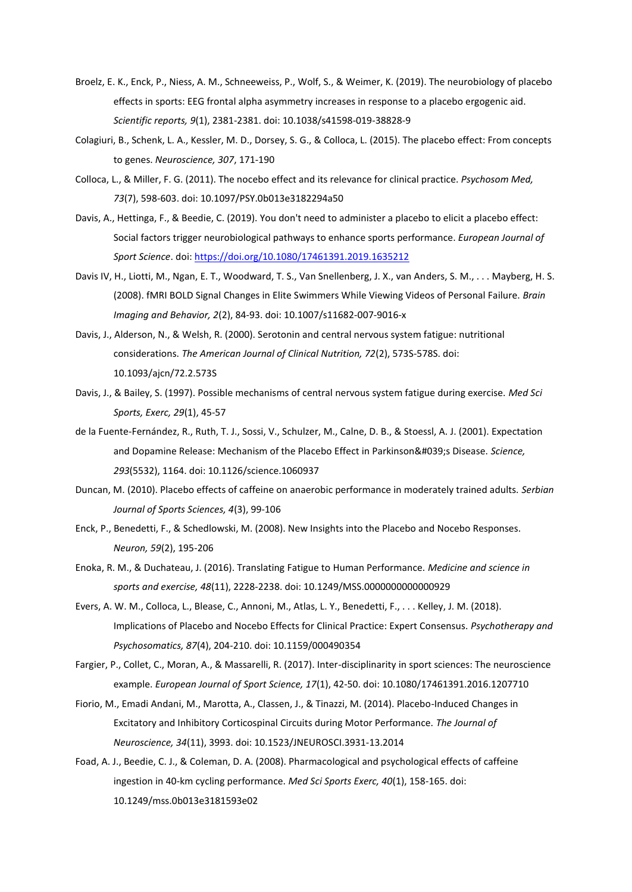- Broelz, E. K., Enck, P., Niess, A. M., Schneeweiss, P., Wolf, S., & Weimer, K. (2019). The neurobiology of placebo effects in sports: EEG frontal alpha asymmetry increases in response to a placebo ergogenic aid. *Scientific reports, 9*(1), 2381-2381. doi: 10.1038/s41598-019-38828-9
- Colagiuri, B., Schenk, L. A., Kessler, M. D., Dorsey, S. G., & Colloca, L. (2015). The placebo effect: From concepts to genes. *Neuroscience, 307*, 171-190
- Colloca, L., & Miller, F. G. (2011). The nocebo effect and its relevance for clinical practice. *Psychosom Med, 73*(7), 598-603. doi: 10.1097/PSY.0b013e3182294a50
- Davis, A., Hettinga, F., & Beedie, C. (2019). You don't need to administer a placebo to elicit a placebo effect: Social factors trigger neurobiological pathways to enhance sports performance. *European Journal of Sport Science*. doi:<https://doi.org/10.1080/17461391.2019.1635212>
- Davis IV, H., Liotti, M., Ngan, E. T., Woodward, T. S., Van Snellenberg, J. X., van Anders, S. M., . . . Mayberg, H. S. (2008). fMRI BOLD Signal Changes in Elite Swimmers While Viewing Videos of Personal Failure. *Brain Imaging and Behavior, 2*(2), 84-93. doi: 10.1007/s11682-007-9016-x
- Davis, J., Alderson, N., & Welsh, R. (2000). Serotonin and central nervous system fatigue: nutritional considerations. *The American Journal of Clinical Nutrition, 72*(2), 573S-578S. doi: 10.1093/ajcn/72.2.573S
- Davis, J., & Bailey, S. (1997). Possible mechanisms of central nervous system fatigue during exercise. *Med Sci Sports, Exerc, 29*(1), 45-57
- de la Fuente-Fernández, R., Ruth, T. J., Sossi, V., Schulzer, M., Calne, D. B., & Stoessl, A. J. (2001). Expectation and Dopamine Release: Mechanism of the Placebo Effect in Parkinson's Disease. Science, *293*(5532), 1164. doi: 10.1126/science.1060937
- Duncan, M. (2010). Placebo effects of caffeine on anaerobic performance in moderately trained adults. *Serbian Journal of Sports Sciences, 4*(3), 99-106
- Enck, P., Benedetti, F., & Schedlowski, M. (2008). New Insights into the Placebo and Nocebo Responses. *Neuron, 59*(2), 195-206
- Enoka, R. M., & Duchateau, J. (2016). Translating Fatigue to Human Performance. *Medicine and science in sports and exercise, 48*(11), 2228-2238. doi: 10.1249/MSS.0000000000000929
- Evers, A. W. M., Colloca, L., Blease, C., Annoni, M., Atlas, L. Y., Benedetti, F., . . . Kelley, J. M. (2018). Implications of Placebo and Nocebo Effects for Clinical Practice: Expert Consensus. *Psychotherapy and Psychosomatics, 87*(4), 204-210. doi: 10.1159/000490354
- Fargier, P., Collet, C., Moran, A., & Massarelli, R. (2017). Inter-disciplinarity in sport sciences: The neuroscience example. *European Journal of Sport Science, 17*(1), 42-50. doi: 10.1080/17461391.2016.1207710
- Fiorio, M., Emadi Andani, M., Marotta, A., Classen, J., & Tinazzi, M. (2014). Placebo-Induced Changes in Excitatory and Inhibitory Corticospinal Circuits during Motor Performance. *The Journal of Neuroscience, 34*(11), 3993. doi: 10.1523/JNEUROSCI.3931-13.2014
- Foad, A. J., Beedie, C. J., & Coleman, D. A. (2008). Pharmacological and psychological effects of caffeine ingestion in 40-km cycling performance. *Med Sci Sports Exerc, 40*(1), 158-165. doi: 10.1249/mss.0b013e3181593e02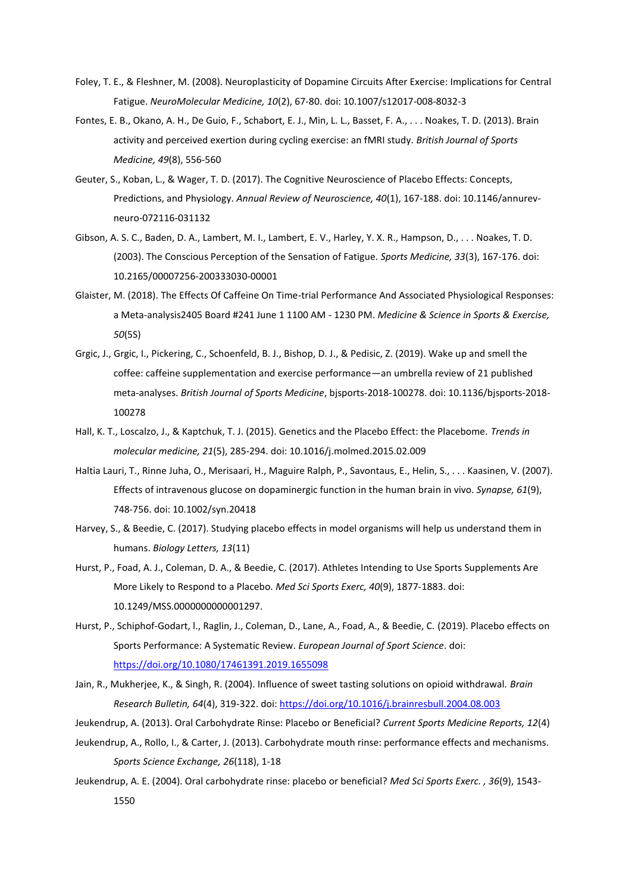- Foley, T. E., & Fleshner, M. (2008). Neuroplasticity of Dopamine Circuits After Exercise: Implications for Central Fatigue. *NeuroMolecular Medicine, 10*(2), 67-80. doi: 10.1007/s12017-008-8032-3
- Fontes, E. B., Okano, A. H., De Guio, F., Schabort, E. J., Min, L. L., Basset, F. A., . . . Noakes, T. D. (2013). Brain activity and perceived exertion during cycling exercise: an fMRI study. *British Journal of Sports Medicine, 49*(8), 556-560
- Geuter, S., Koban, L., & Wager, T. D. (2017). The Cognitive Neuroscience of Placebo Effects: Concepts, Predictions, and Physiology. *Annual Review of Neuroscience, 40*(1), 167-188. doi: 10.1146/annurevneuro-072116-031132
- Gibson, A. S. C., Baden, D. A., Lambert, M. I., Lambert, E. V., Harley, Y. X. R., Hampson, D., . . . Noakes, T. D. (2003). The Conscious Perception of the Sensation of Fatigue. *Sports Medicine, 33*(3), 167-176. doi: 10.2165/00007256-200333030-00001
- Glaister, M. (2018). The Effects Of Caffeine On Time-trial Performance And Associated Physiological Responses: a Meta-analysis2405 Board #241 June 1 1100 AM - 1230 PM. *Medicine & Science in Sports & Exercise, 50*(5S)
- Grgic, J., Grgic, I., Pickering, C., Schoenfeld, B. J., Bishop, D. J., & Pedisic, Z. (2019). Wake up and smell the coffee: caffeine supplementation and exercise performance—an umbrella review of 21 published meta-analyses. *British Journal of Sports Medicine*, bjsports-2018-100278. doi: 10.1136/bjsports-2018- 100278
- Hall, K. T., Loscalzo, J., & Kaptchuk, T. J. (2015). Genetics and the Placebo Effect: the Placebome. *Trends in molecular medicine, 21*(5), 285-294. doi: 10.1016/j.molmed.2015.02.009
- Haltia Lauri, T., Rinne Juha, O., Merisaari, H., Maguire Ralph, P., Savontaus, E., Helin, S., . . . Kaasinen, V. (2007). Effects of intravenous glucose on dopaminergic function in the human brain in vivo. *Synapse, 61*(9), 748-756. doi: 10.1002/syn.20418
- Harvey, S., & Beedie, C. (2017). Studying placebo effects in model organisms will help us understand them in humans. *Biology Letters, 13*(11)
- Hurst, P., Foad, A. J., Coleman, D. A., & Beedie, C. (2017). Athletes Intending to Use Sports Supplements Are More Likely to Respond to a Placebo. *Med Sci Sports Exerc, 40*(9), 1877-1883. doi: 10.1249/MSS.0000000000001297.
- Hurst, P., Schiphof-Godart, l., Raglin, J., Coleman, D., Lane, A., Foad, A., & Beedie, C. (2019). Placebo effects on Sports Performance: A Systematic Review. *European Journal of Sport Science*. doi: <https://doi.org/10.1080/17461391.2019.1655098>
- Jain, R., Mukherjee, K., & Singh, R. (2004). Influence of sweet tasting solutions on opioid withdrawal. *Brain Research Bulletin, 64*(4), 319-322. doi[: https://doi.org/10.1016/j.brainresbull.2004.08.003](https://doi.org/10.1016/j.brainresbull.2004.08.003)
- Jeukendrup, A. (2013). Oral Carbohydrate Rinse: Placebo or Beneficial? *Current Sports Medicine Reports, 12*(4)
- Jeukendrup, A., Rollo, I., & Carter, J. (2013). Carbohydrate mouth rinse: performance effects and mechanisms. *Sports Science Exchange, 26*(118), 1-18
- Jeukendrup, A. E. (2004). Oral carbohydrate rinse: placebo or beneficial? *Med Sci Sports Exerc. , 36*(9), 1543- 1550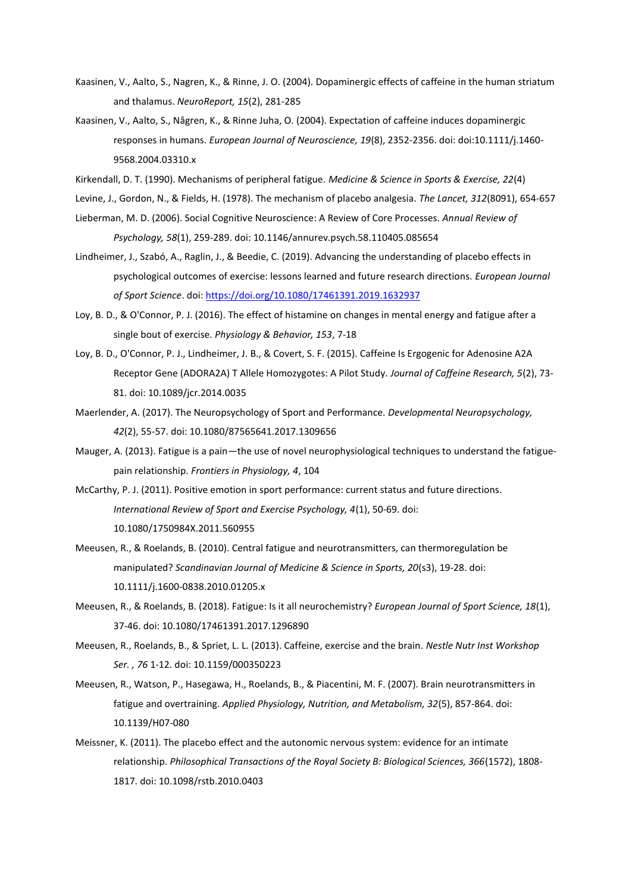- Kaasinen, V., Aalto, S., Nagren, K., & Rinne, J. O. (2004). Dopaminergic effects of caffeine in the human striatum and thalamus. *NeuroReport, 15*(2), 281-285
- Kaasinen, V., Aalto, S., Någren, K., & Rinne Juha, O. (2004). Expectation of caffeine induces dopaminergic responses in humans. *European Journal of Neuroscience, 19*(8), 2352-2356. doi: doi:10.1111/j.1460- 9568.2004.03310.x
- Kirkendall, D. T. (1990). Mechanisms of peripheral fatigue. *Medicine & Science in Sports & Exercise, 22*(4)
- Levine, J., Gordon, N., & Fields, H. (1978). The mechanism of placebo analgesia. *The Lancet, 312*(8091), 654-657
- Lieberman, M. D. (2006). Social Cognitive Neuroscience: A Review of Core Processes. *Annual Review of Psychology, 58*(1), 259-289. doi: 10.1146/annurev.psych.58.110405.085654
- Lindheimer, J., Szabó, A., Raglin, J., & Beedie, C. (2019). Advancing the understanding of placebo effects in psychological outcomes of exercise: lessons learned and future research directions. *European Journal of Sport Science*. doi[: https://doi.org/10.1080/17461391.2019.1632937](https://doi.org/10.1080/17461391.2019.1632937)
- Loy, B. D., & O'Connor, P. J. (2016). The effect of histamine on changes in mental energy and fatigue after a single bout of exercise. *Physiology & Behavior, 153*, 7-18
- Loy, B. D., O'Connor, P. J., Lindheimer, J. B., & Covert, S. F. (2015). Caffeine Is Ergogenic for Adenosine A2A Receptor Gene (ADORA2A) T Allele Homozygotes: A Pilot Study. *Journal of Caffeine Research, 5*(2), 73- 81. doi: 10.1089/jcr.2014.0035
- Maerlender, A. (2017). The Neuropsychology of Sport and Performance. *Developmental Neuropsychology, 42*(2), 55-57. doi: 10.1080/87565641.2017.1309656
- Mauger, A. (2013). Fatigue is a pain—the use of novel neurophysiological techniques to understand the fatiguepain relationship. *Frontiers in Physiology, 4*, 104
- McCarthy, P. J. (2011). Positive emotion in sport performance: current status and future directions. *International Review of Sport and Exercise Psychology, 4*(1), 50-69. doi: 10.1080/1750984X.2011.560955
- Meeusen, R., & Roelands, B. (2010). Central fatigue and neurotransmitters, can thermoregulation be manipulated? *Scandinavian Journal of Medicine & Science in Sports, 20*(s3), 19-28. doi: 10.1111/j.1600-0838.2010.01205.x
- Meeusen, R., & Roelands, B. (2018). Fatigue: Is it all neurochemistry? *European Journal of Sport Science, 18*(1), 37-46. doi: 10.1080/17461391.2017.1296890
- Meeusen, R., Roelands, B., & Spriet, L. L. (2013). Caffeine, exercise and the brain. *Nestle Nutr Inst Workshop Ser. , 76* 1-12. doi: 10.1159/000350223
- Meeusen, R., Watson, P., Hasegawa, H., Roelands, B., & Piacentini, M. F. (2007). Brain neurotransmitters in fatigue and overtraining. *Applied Physiology, Nutrition, and Metabolism, 32*(5), 857-864. doi: 10.1139/H07-080
- Meissner, K. (2011). The placebo effect and the autonomic nervous system: evidence for an intimate relationship. *Philosophical Transactions of the Royal Society B: Biological Sciences, 366*(1572), 1808- 1817. doi: 10.1098/rstb.2010.0403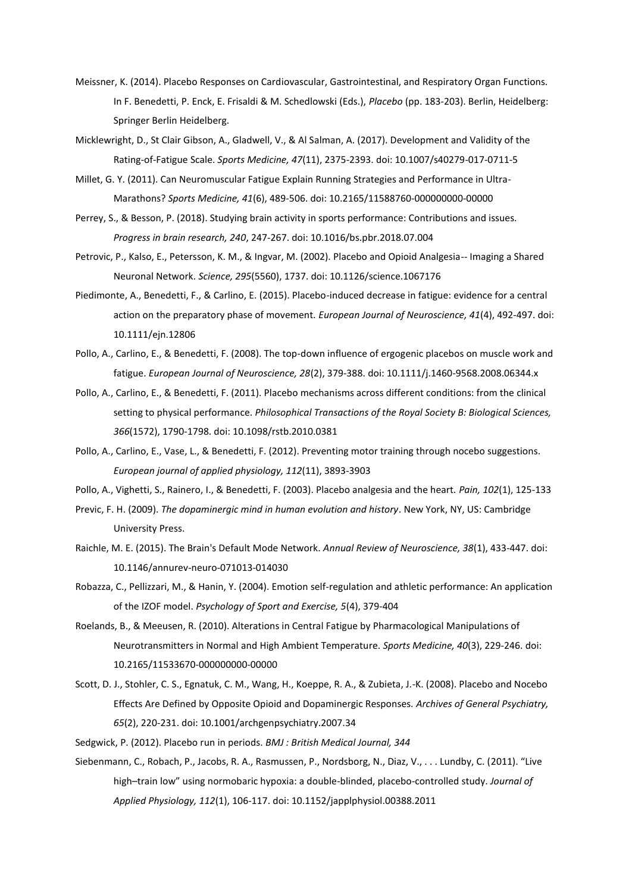- Meissner, K. (2014). Placebo Responses on Cardiovascular, Gastrointestinal, and Respiratory Organ Functions. In F. Benedetti, P. Enck, E. Frisaldi & M. Schedlowski (Eds.), *Placebo* (pp. 183-203). Berlin, Heidelberg: Springer Berlin Heidelberg.
- Micklewright, D., St Clair Gibson, A., Gladwell, V., & Al Salman, A. (2017). Development and Validity of the Rating-of-Fatigue Scale. *Sports Medicine, 47*(11), 2375-2393. doi: 10.1007/s40279-017-0711-5
- Millet, G. Y. (2011). Can Neuromuscular Fatigue Explain Running Strategies and Performance in Ultra-Marathons? *Sports Medicine, 41*(6), 489-506. doi: 10.2165/11588760-000000000-00000
- Perrey, S., & Besson, P. (2018). Studying brain activity in sports performance: Contributions and issues. *Progress in brain research, 240*, 247-267. doi: 10.1016/bs.pbr.2018.07.004
- Petrovic, P., Kalso, E., Petersson, K. M., & Ingvar, M. (2002). Placebo and Opioid Analgesia-- Imaging a Shared Neuronal Network. *Science, 295*(5560), 1737. doi: 10.1126/science.1067176
- Piedimonte, A., Benedetti, F., & Carlino, E. (2015). Placebo-induced decrease in fatigue: evidence for a central action on the preparatory phase of movement. *European Journal of Neuroscience, 41*(4), 492-497. doi: 10.1111/ejn.12806
- Pollo, A., Carlino, E., & Benedetti, F. (2008). The top-down influence of ergogenic placebos on muscle work and fatigue. *European Journal of Neuroscience, 28*(2), 379-388. doi: 10.1111/j.1460-9568.2008.06344.x
- Pollo, A., Carlino, E., & Benedetti, F. (2011). Placebo mechanisms across different conditions: from the clinical setting to physical performance. *Philosophical Transactions of the Royal Society B: Biological Sciences, 366*(1572), 1790-1798. doi: 10.1098/rstb.2010.0381
- Pollo, A., Carlino, E., Vase, L., & Benedetti, F. (2012). Preventing motor training through nocebo suggestions. *European journal of applied physiology, 112*(11), 3893-3903
- Pollo, A., Vighetti, S., Rainero, I., & Benedetti, F. (2003). Placebo analgesia and the heart. *Pain, 102*(1), 125-133
- Previc, F. H. (2009). *The dopaminergic mind in human evolution and history*. New York, NY, US: Cambridge University Press.
- Raichle, M. E. (2015). The Brain's Default Mode Network. *Annual Review of Neuroscience, 38*(1), 433-447. doi: 10.1146/annurev-neuro-071013-014030
- Robazza, C., Pellizzari, M., & Hanin, Y. (2004). Emotion self-regulation and athletic performance: An application of the IZOF model. *Psychology of Sport and Exercise, 5*(4), 379-404
- Roelands, B., & Meeusen, R. (2010). Alterations in Central Fatigue by Pharmacological Manipulations of Neurotransmitters in Normal and High Ambient Temperature. *Sports Medicine, 40*(3), 229-246. doi: 10.2165/11533670-000000000-00000
- Scott, D. J., Stohler, C. S., Egnatuk, C. M., Wang, H., Koeppe, R. A., & Zubieta, J.-K. (2008). Placebo and Nocebo Effects Are Defined by Opposite Opioid and Dopaminergic Responses. *Archives of General Psychiatry, 65*(2), 220-231. doi: 10.1001/archgenpsychiatry.2007.34
- Sedgwick, P. (2012). Placebo run in periods. *BMJ : British Medical Journal, 344*
- Siebenmann, C., Robach, P., Jacobs, R. A., Rasmussen, P., Nordsborg, N., Diaz, V., . . . Lundby, C. (2011). "Live high–train low" using normobaric hypoxia: a double-blinded, placebo-controlled study. *Journal of Applied Physiology, 112*(1), 106-117. doi: 10.1152/japplphysiol.00388.2011